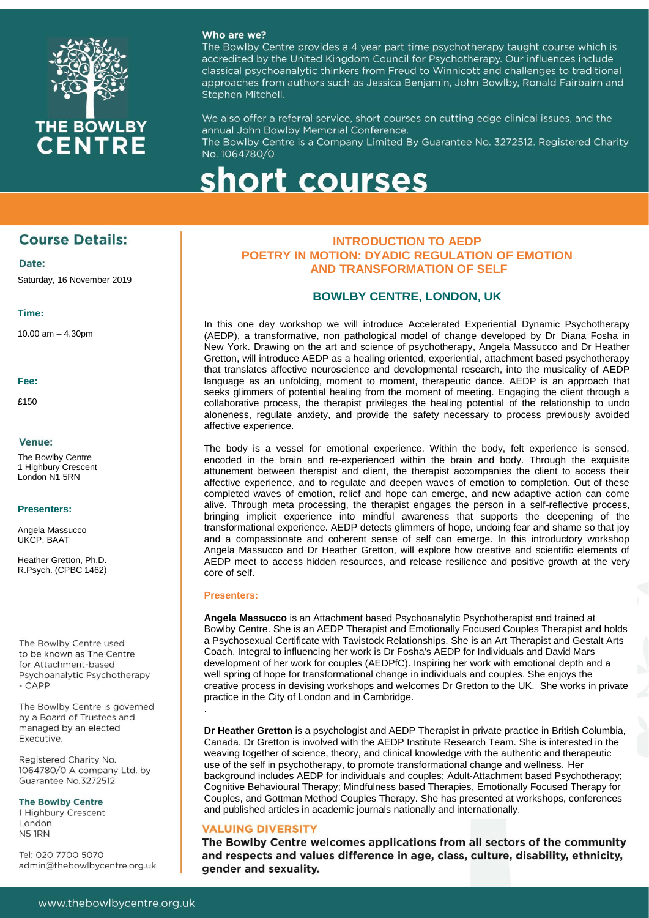

#### Who are we?

The Bowlby Centre provides a 4 year part time psychotherapy taught course which is accredited by the United Kingdom Council for Psychotherapy. Our influences include classical psychoanalytic thinkers from Freud to Winnicott and challenges to traditional approaches from authors such as Jessica Benjamin, John Bowlby, Ronald Fairbairn and Stephen Mitchell.

We also offer a referral service, short courses on cutting edge clinical issues, and the annual John Bowlby Memorial Conference.

The Bowlby Centre is a Company Limited By Guarantee No. 3272512. Registered Charity No. 1064780/0

# short courses

## **Course Details:**

Date:

Saturday, 16 November 2019

#### **Time:**

10.00 am – 4.30pm

**Fee:**

£150

#### Venue:

The Bowlby Centre 1 Highbury Crescent London N1 5RN

#### **Presenters:**

Angela Massucco UKCP, BAAT

Heather Gretton, Ph.D. R.Psych. (CPBC 1462)

The Bowlby Centre used to be known as The Centre for Attachment-based Psychoanalytic Psychotherapy - CAPP

The Bowlby Centre is governed by a Board of Trustees and managed by an elected Executive.

Registered Charity No. 1064780/0 A company Ltd. by Guarantee No.3272512

#### **The Bowlby Centre**

1 Highbury Crescent London **N51RN** 

Tel: 020 7700 5070 admin@thebowlbycentre.org.uk

## **INTRODUCTION TO AEDP POETRY IN MOTION: DYADIC REGULATION OF EMOTION AND TRANSFORMATION OF SELF**

## **BOWLBY CENTRE, LONDON, UK**

In this one day workshop we will introduce Accelerated Experiential Dynamic Psychotherapy (AEDP), a transformative, non pathological model of change developed by Dr Diana Fosha in New York. Drawing on the art and science of psychotherapy, Angela Massucco and Dr Heather Gretton, will introduce AEDP as a healing oriented, experiential, attachment based psychotherapy that translates affective neuroscience and developmental research, into the musicality of AEDP language as an unfolding, moment to moment, therapeutic dance. AEDP is an approach that seeks glimmers of potential healing from the moment of meeting. Engaging the client through a collaborative process, the therapist privileges the healing potential of the relationship to undo aloneness, regulate anxiety, and provide the safety necessary to process previously avoided affective experience.

The body is a vessel for emotional experience. Within the body, felt experience is sensed, encoded in the brain and re-experienced within the brain and body. Through the exquisite attunement between therapist and client, the therapist accompanies the client to access their affective experience, and to regulate and deepen waves of emotion to completion. Out of these completed waves of emotion, relief and hope can emerge, and new adaptive action can come alive. Through meta processing, the therapist engages the person in a self-reflective process, bringing implicit experience into mindful awareness that supports the deepening of the transformational experience. AEDP detects glimmers of hope, undoing fear and shame so that joy and a compassionate and coherent sense of self can emerge. In this introductory workshop Angela Massucco and Dr Heather Gretton, will explore how creative and scientific elements of AEDP meet to access hidden resources, and release resilience and positive growth at the very core of self.

#### **Presenters:**

.

**Angela Massucco** is an Attachment based Psychoanalytic Psychotherapist and trained at Bowlby Centre. She is an AEDP Therapist and Emotionally Focused Couples Therapist and holds a Psychosexual Certificate with Tavistock Relationships. She is an Art Therapist and Gestalt Arts Coach. Integral to influencing her work is Dr Fosha's AEDP for Individuals and David Mars development of her work for couples (AEDPfC). Inspiring her work with emotional depth and a well spring of hope for transformational change in individuals and couples. She enjoys the creative process in devising workshops and welcomes Dr Gretton to the UK. She works in private practice in the City of London and in Cambridge.

**Dr Heather Gretton** is a psychologist and AEDP Therapist in private practice in British Columbia, Canada. Dr Gretton is involved with the AEDP Institute Research Team. She is interested in the weaving together of science, theory, and clinical knowledge with the authentic and therapeutic use of the self in psychotherapy, to promote transformational change and wellness. Her background includes AEDP for individuals and couples; Adult-Attachment based Psychotherapy; Cognitive Behavioural Therapy; Mindfulness based Therapies, Emotionally Focused Therapy for Couples, and Gottman Method Couples Therapy. She has presented at workshops, conferences and published articles in academic journals nationally and internationally.

### **VALUING DIVERSITY**

The Bowlby Centre welcomes applications from all sectors of the community and respects and values difference in age, class, culture, disability, ethnicity, gender and sexuality.